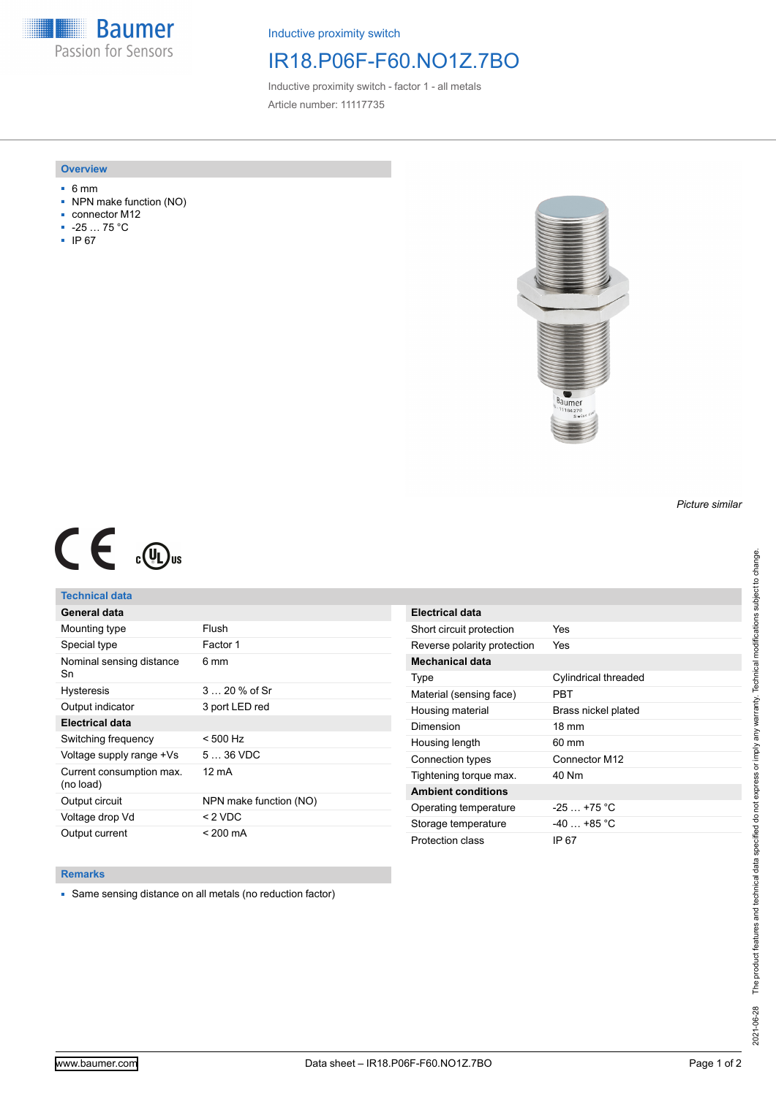**Baumer** Passion for Sensors

Inductive proximity switch

## IR18.P06F-F60.NO1Z.7BO

Inductive proximity switch - factor 1 - all metals Article number: 11117735

### **Overview**

- 6 mm
- NPN make function (NO)
- connector M12
- -25 … 75 °C
- IP 67



# $C \in \mathbb{C}$

## **Technical data**

| General data                          |                        |
|---------------------------------------|------------------------|
| Mounting type                         | Flush                  |
| Special type                          | Factor 1               |
| Nominal sensing distance<br>Sn        | 6 mm                   |
| <b>Hysteresis</b>                     | $320%$ of Sr           |
| Output indicator                      | 3 port LED red         |
| Electrical data                       |                        |
| Switching frequency                   | $< 500$ Hz             |
| Voltage supply range +Vs              | $536$ VDC              |
| Current consumption max.<br>(no load) | 12 mA                  |
| Output circuit                        | NPN make function (NO) |
| Voltage drop Vd                       | < 2 VDC                |
| Output current                        | $< 200 \text{ mA}$     |

| Electrical data             |                             |
|-----------------------------|-----------------------------|
| Short circuit protection    | Yes                         |
| Reverse polarity protection | Yes                         |
| Mechanical data             |                             |
| Type                        | <b>Cylindrical threaded</b> |
| Material (sensing face)     | PRT                         |
| Housing material            | Brass nickel plated         |
| Dimension                   | $18 \text{ mm}$             |
| Housing length              | 60 mm                       |
| Connection types            | Connector M12               |
| Tightening torque max.      | 40 Nm                       |
| <b>Ambient conditions</b>   |                             |
| Operating temperature       | $-25+75$ °C                 |
| Storage temperature         | $-40$ $+85$ °C              |
| Protection class            | IP 67                       |

#### **Remarks**

■ Same sensing distance on all metals (no reduction factor)

*Picture similar*